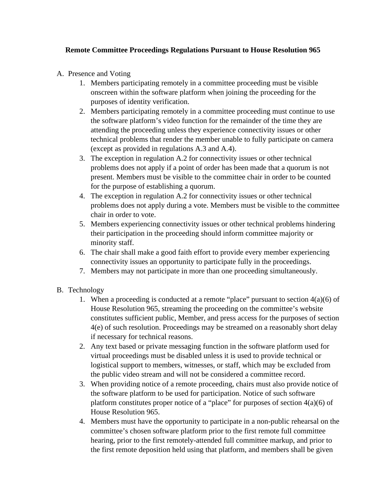#### **Remote Committee Proceedings Regulations Pursuant to House Resolution 965**

- A. Presence and Voting
	- 1. Members participating remotely in a committee proceeding must be visible onscreen within the software platform when joining the proceeding for the purposes of identity verification.
	- 2. Members participating remotely in a committee proceeding must continue to use the software platform's video function for the remainder of the time they are attending the proceeding unless they experience connectivity issues or other technical problems that render the member unable to fully participate on camera (except as provided in regulations A.3 and A.4).
	- 3. The exception in regulation A.2 for connectivity issues or other technical problems does not apply if a point of order has been made that a quorum is not present. Members must be visible to the committee chair in order to be counted for the purpose of establishing a quorum.
	- 4. The exception in regulation A.2 for connectivity issues or other technical problems does not apply during a vote. Members must be visible to the committee chair in order to vote.
	- 5. Members experiencing connectivity issues or other technical problems hindering their participation in the proceeding should inform committee majority or minority staff.
	- 6. The chair shall make a good faith effort to provide every member experiencing connectivity issues an opportunity to participate fully in the proceedings.
	- 7. Members may not participate in more than one proceeding simultaneously.
- B. Technology
	- 1. When a proceeding is conducted at a remote "place" pursuant to section  $4(a)(6)$  of House Resolution 965, streaming the proceeding on the committee's website constitutes sufficient public, Member, and press access for the purposes of section 4(e) of such resolution. Proceedings may be streamed on a reasonably short delay if necessary for technical reasons.
	- 2. Any text based or private messaging function in the software platform used for virtual proceedings must be disabled unless it is used to provide technical or logistical support to members, witnesses, or staff, which may be excluded from the public video stream and will not be considered a committee record.
	- 3. When providing notice of a remote proceeding, chairs must also provide notice of the software platform to be used for participation. Notice of such software platform constitutes proper notice of a "place" for purposes of section 4(a)(6) of House Resolution 965.
	- 4. Members must have the opportunity to participate in a non-public rehearsal on the committee's chosen software platform prior to the first remote full committee hearing, prior to the first remotely-attended full committee markup, and prior to the first remote deposition held using that platform, and members shall be given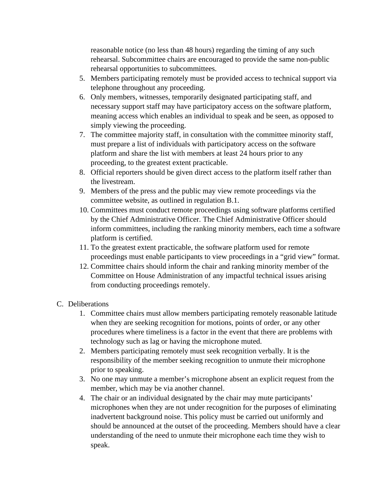reasonable notice (no less than 48 hours) regarding the timing of any such rehearsal. Subcommittee chairs are encouraged to provide the same non-public rehearsal opportunities to subcommittees.

- 5. Members participating remotely must be provided access to technical support via telephone throughout any proceeding.
- 6. Only members, witnesses, temporarily designated participating staff, and necessary support staff may have participatory access on the software platform, meaning access which enables an individual to speak and be seen, as opposed to simply viewing the proceeding.
- 7. The committee majority staff, in consultation with the committee minority staff, must prepare a list of individuals with participatory access on the software platform and share the list with members at least 24 hours prior to any proceeding, to the greatest extent practicable.
- 8. Official reporters should be given direct access to the platform itself rather than the livestream.
- 9. Members of the press and the public may view remote proceedings via the committee website, as outlined in regulation B.1.
- 10. Committees must conduct remote proceedings using software platforms certified by the Chief Administrative Officer. The Chief Administrative Officer should inform committees, including the ranking minority members, each time a software platform is certified.
- 11. To the greatest extent practicable, the software platform used for remote proceedings must enable participants to view proceedings in a "grid view" format.
- 12. Committee chairs should inform the chair and ranking minority member of the Committee on House Administration of any impactful technical issues arising from conducting proceedings remotely.

#### C. Deliberations

- 1. Committee chairs must allow members participating remotely reasonable latitude when they are seeking recognition for motions, points of order, or any other procedures where timeliness is a factor in the event that there are problems with technology such as lag or having the microphone muted.
- 2. Members participating remotely must seek recognition verbally. It is the responsibility of the member seeking recognition to unmute their microphone prior to speaking.
- 3. No one may unmute a member's microphone absent an explicit request from the member, which may be via another channel.
- 4. The chair or an individual designated by the chair may mute participants' microphones when they are not under recognition for the purposes of eliminating inadvertent background noise. This policy must be carried out uniformly and should be announced at the outset of the proceeding. Members should have a clear understanding of the need to unmute their microphone each time they wish to speak.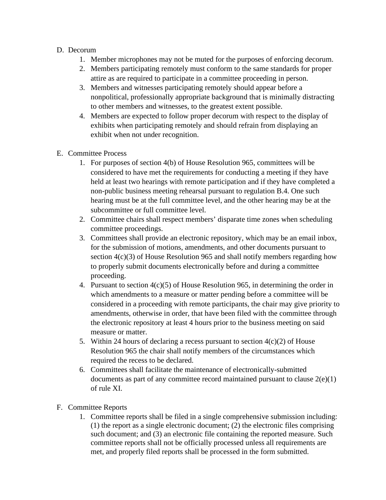### D. Decorum

- 1. Member microphones may not be muted for the purposes of enforcing decorum.
- 2. Members participating remotely must conform to the same standards for proper attire as are required to participate in a committee proceeding in person.
- 3. Members and witnesses participating remotely should appear before a nonpolitical, professionally appropriate background that is minimally distracting to other members and witnesses, to the greatest extent possible.
- 4. Members are expected to follow proper decorum with respect to the display of exhibits when participating remotely and should refrain from displaying an exhibit when not under recognition.
- E. Committee Process
	- 1. For purposes of section 4(b) of House Resolution 965, committees will be considered to have met the requirements for conducting a meeting if they have held at least two hearings with remote participation and if they have completed a non-public business meeting rehearsal pursuant to regulation B.4. One such hearing must be at the full committee level, and the other hearing may be at the subcommittee or full committee level.
	- 2. Committee chairs shall respect members' disparate time zones when scheduling committee proceedings.
	- 3. Committees shall provide an electronic repository, which may be an email inbox, for the submission of motions, amendments, and other documents pursuant to section 4(c)(3) of House Resolution 965 and shall notify members regarding how to properly submit documents electronically before and during a committee proceeding.
	- 4. Pursuant to section  $4(c)(5)$  of House Resolution 965, in determining the order in which amendments to a measure or matter pending before a committee will be considered in a proceeding with remote participants, the chair may give priority to amendments, otherwise in order, that have been filed with the committee through the electronic repository at least 4 hours prior to the business meeting on said measure or matter.
	- 5. Within 24 hours of declaring a recess pursuant to section  $4(c)(2)$  of House Resolution 965 the chair shall notify members of the circumstances which required the recess to be declared.
	- 6. Committees shall facilitate the maintenance of electronically-submitted documents as part of any committee record maintained pursuant to clause  $2(e)(1)$ of rule XI.
- F. Committee Reports
	- 1. Committee reports shall be filed in a single comprehensive submission including: (1) the report as a single electronic document; (2) the electronic files comprising such document; and (3) an electronic file containing the reported measure. Such committee reports shall not be officially processed unless all requirements are met, and properly filed reports shall be processed in the form submitted.